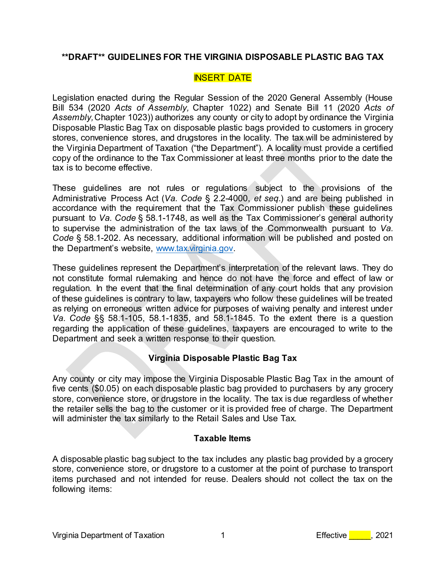## **\*\*DRAFT\*\* GUIDELINES FOR THE VIRGINIA DISPOSABLE PLASTIC BAG TAX**

### **INSERT DATE**

Legislation enacted during the Regular Session of the 2020 General Assembly (House Bill 534 (2020 *Acts of Assembly,* Chapter 1022) and Senate Bill 11 (2020 *Acts of Assembly,*Chapter 1023)) authorizes any county or city to adopt by ordinance the Virginia Disposable Plastic Bag Tax on disposable plastic bags provided to customers in grocery stores, convenience stores, and drugstores in the locality. The tax will be administered by the Virginia Department of Taxation ("the Department"). A locality must provide a certified copy of the ordinance to the Tax Commissioner at least three months prior to the date the tax is to become effective.

These guidelines are not rules or regulations subject to the provisions of the Administrative Process Act (*Va. Code* § 2.2-4000, *et seq*.) and are being published in accordance with the requirement that the Tax Commissioner publish these guidelines pursuant to *Va. Code* § 58.1-1748, as well as the Tax Commissioner's general authority to supervise the administration of the tax laws of the Commonwealth pursuant to *Va. Code* § 58.1-202. As necessary, additional information will be published and posted on the Department's website, [www.tax.virginia.gov.](http://www.tax.virginia.gov/) 

These guidelines represent the Department's interpretation of the relevant laws. They do not constitute formal rulemaking and hence do not have the force and effect of law or regulation. In the event that the final determination of any court holds that any provision of these guidelines is contrary to law, taxpayers who follow these guidelines will be treated as relying on erroneous written advice for purposes of waiving penalty and interest under *Va. Code* §§ 58.1-105, 58.1-1835, and 58.1-1845. To the extent there is a question regarding the application of these guidelines, taxpayers are encouraged to write to the Department and seek a written response to their question.

## **Virginia Disposable Plastic Bag Tax**

Any county or city may impose the Virginia Disposable Plastic Bag Tax in the amount of five cents (\$0.05) on each disposable plastic bag provided to purchasers by any grocery store, convenience store, or drugstore in the locality. The tax is due regardless of whether the retailer sells the bag to the customer or it is provided free of charge. The Department will administer the tax similarly to the Retail Sales and Use Tax.

### **Taxable Items**

A disposable plastic bag subject to the tax includes any plastic bag provided by a grocery store, convenience store, or drugstore to a customer at the point of purchase to transport items purchased and not intended for reuse. Dealers should not collect the tax on the following items: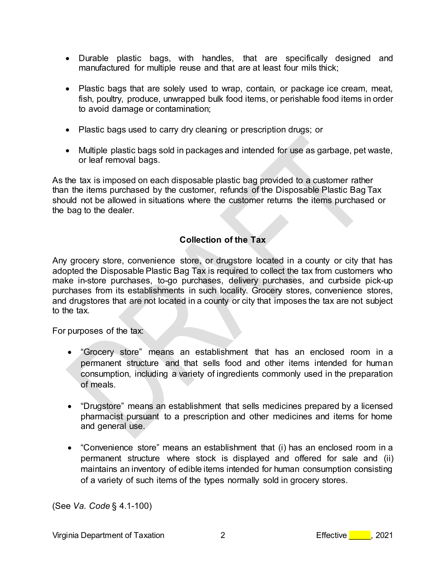- Durable plastic bags, with handles, that are specifically designed and manufactured for multiple reuse and that are at least four mils thick;
- Plastic bags that are solely used to wrap, contain, or package ice cream, meat, fish, poultry, produce, unwrapped bulk food items, or perishable food items in order to avoid damage or contamination;
- Plastic bags used to carry dry cleaning or prescription drugs; or
- Multiple plastic bags sold in packages and intended for use as garbage, pet waste, or leaf removal bags.

As the tax is imposed on each disposable plastic bag provided to a customer rather than the items purchased by the customer, refunds of the Disposable Plastic Bag Tax should not be allowed in situations where the customer returns the items purchased or the bag to the dealer.

# **Collection of the Tax**

Any grocery store, convenience store, or drugstore located in a county or city that has adopted the Disposable Plastic Bag Tax is required to collect the tax from customers who make in-store purchases, to-go purchases, delivery purchases, and curbside pick-up purchases from its establishments in such locality. Grocery stores, convenience stores, and drugstores that are not located in a county or city that imposes the tax are not subject to the tax.

For purposes of the tax:

- "Grocery store" means an establishment that has an enclosed room in a permanent structure and that sells food and other items intended for human consumption, including a variety of ingredients commonly used in the preparation of meals.
- "Drugstore" means an establishment that sells medicines prepared by a licensed pharmacist pursuant to a prescription and other medicines and items for home and general use.
- "Convenience store" means an establishment that (i) has an enclosed room in a permanent structure where stock is displayed and offered for sale and (ii) maintains an inventory of edible items intended for human consumption consisting of a variety of such items of the types normally sold in grocery stores.

(See *Va. Code* § 4.1-100)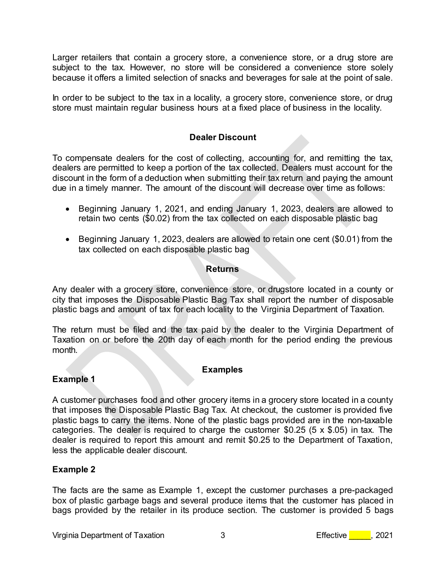Larger retailers that contain a grocery store, a convenience store, or a drug store are subject to the tax. However, no store will be considered a convenience store solely because it offers a limited selection of snacks and beverages for sale at the point of sale.

In order to be subject to the tax in a locality, a grocery store, convenience store, or drug store must maintain regular business hours at a fixed place of business in the locality.

### **Dealer Discount**

To compensate dealers for the cost of collecting, accounting for, and remitting the tax, dealers are permitted to keep a portion of the tax collected. Dealers must account for the discount in the form of a deduction when submitting their tax return and paying the amount due in a timely manner. The amount of the discount will decrease over time as follows:

- Beginning January 1, 2021, and ending January 1, 2023, dealers are allowed to retain two cents (\$0.02) from the tax collected on each disposable plastic bag
- Beginning January 1, 2023, dealers are allowed to retain one cent (\$0.01) from the tax collected on each disposable plastic bag

#### **Returns**

Any dealer with a grocery store, convenience store, or drugstore located in a county or city that imposes the Disposable Plastic Bag Tax shall report the number of disposable plastic bags and amount of tax for each locality to the Virginia Department of Taxation.

The return must be filed and the tax paid by the dealer to the Virginia Department of Taxation on or before the 20th day of each month for the period ending the previous month.

#### **Examples**

### **Example 1**

A customer purchases food and other grocery items in a grocery store located in a county that imposes the Disposable Plastic Bag Tax. At checkout, the customer is provided five plastic bags to carry the items. None of the plastic bags provided are in the non-taxable categories. The dealer is required to charge the customer \$0.25 (5 x \$.05) in tax. The dealer is required to report this amount and remit \$0.25 to the Department of Taxation, less the applicable dealer discount.

### **Example 2**

The facts are the same as Example 1, except the customer purchases a pre-packaged box of plastic garbage bags and several produce items that the customer has placed in bags provided by the retailer in its produce section. The customer is provided 5 bags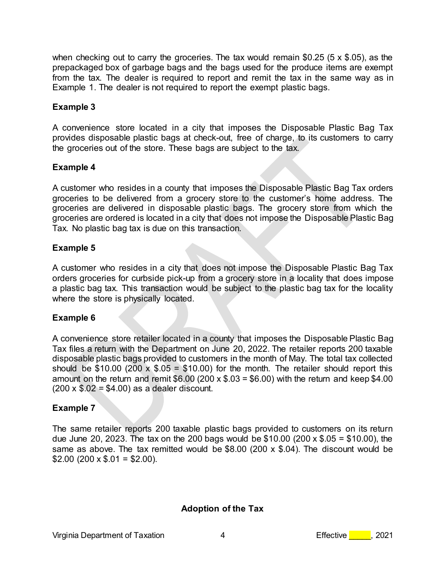when checking out to carry the groceries. The tax would remain \$0.25 (5 x \$.05), as the prepackaged box of garbage bags and the bags used for the produce items are exempt from the tax. The dealer is required to report and remit the tax in the same way as in Example 1. The dealer is not required to report the exempt plastic bags.

### **Example 3**

A convenience store located in a city that imposes the Disposable Plastic Bag Tax provides disposable plastic bags at check-out, free of charge, to its customers to carry the groceries out of the store. These bags are subject to the tax.

### **Example 4**

A customer who resides in a county that imposes the Disposable Plastic Bag Tax orders groceries to be delivered from a grocery store to the customer's home address. The groceries are delivered in disposable plastic bags. The grocery store from which the groceries are ordered is located in a city that does not impose the Disposable Plastic Bag Tax. No plastic bag tax is due on this transaction.

### **Example 5**

A customer who resides in a city that does not impose the Disposable Plastic Bag Tax orders groceries for curbside pick-up from a grocery store in a locality that does impose a plastic bag tax. This transaction would be subject to the plastic bag tax for the locality where the store is physically located.

### **Example 6**

A convenience store retailer located in a county that imposes the Disposable Plastic Bag Tax files a return with the Department on June 20, 2022. The retailer reports 200 taxable disposable plastic bags provided to customers in the month of May. The total tax collected should be \$10.00 (200 x  $$.05 = $10.00$ ) for the month. The retailer should report this amount on the return and remit  $$6.00 (200 \times $.03 = $6.00)$  with the return and keep \$4.00  $(200 \times $.02 = $4.00)$  as a dealer discount.

## **Example 7**

The same retailer reports 200 taxable plastic bags provided to customers on its return due June 20, 2023. The tax on the 200 bags would be \$10.00 (200 x \$.05 = \$10.00), the same as above. The tax remitted would be \$8.00 (200 x \$.04). The discount would be  $$2.00$  (200 x  $$.01 = $2.00$ ).

### **Adoption of the Tax**